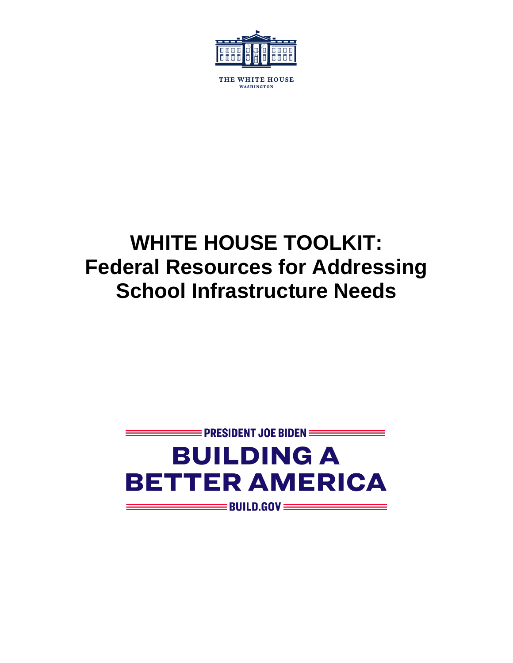

THE WHITE HOUSE WASHINGTON

# **WHITE HOUSE TOOLKIT: Federal Resources for Addressing School Infrastructure Needs**

# $\equiv$  PRESIDENT JOE BIDEN  $\equiv$ **BUILDING A BETTER AMERICA**  $\equiv$  BUILD.GOV  $\equiv$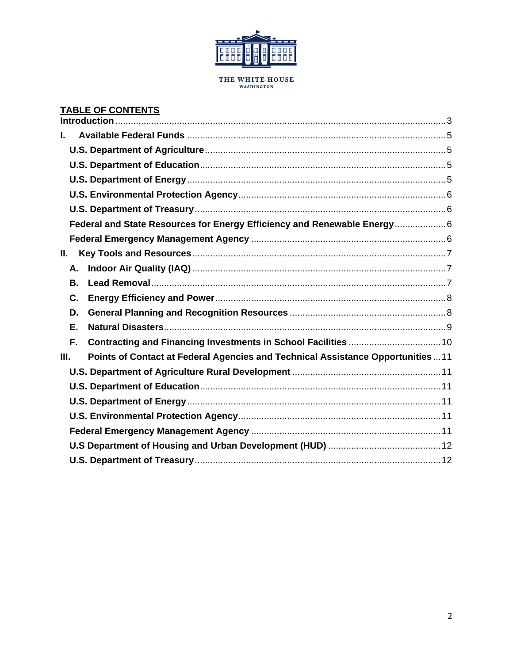

# THE WHITE HOUSE<br>WASHINGTON

#### **TABLE OF CONTENTS**

| ı. |    |                                                                                |  |
|----|----|--------------------------------------------------------------------------------|--|
|    |    |                                                                                |  |
|    |    |                                                                                |  |
|    |    |                                                                                |  |
|    |    |                                                                                |  |
|    |    |                                                                                |  |
|    |    | Federal and State Resources for Energy Efficiency and Renewable Energy6        |  |
|    |    |                                                                                |  |
| Ш. |    |                                                                                |  |
|    | А. |                                                                                |  |
|    | В. |                                                                                |  |
|    | C. |                                                                                |  |
|    | D. |                                                                                |  |
|    | E. |                                                                                |  |
|    | F. |                                                                                |  |
| Ш. |    | Points of Contact at Federal Agencies and Technical Assistance Opportunities11 |  |
|    |    |                                                                                |  |
|    |    |                                                                                |  |
|    |    |                                                                                |  |
|    |    |                                                                                |  |
|    |    |                                                                                |  |
|    |    |                                                                                |  |
|    |    |                                                                                |  |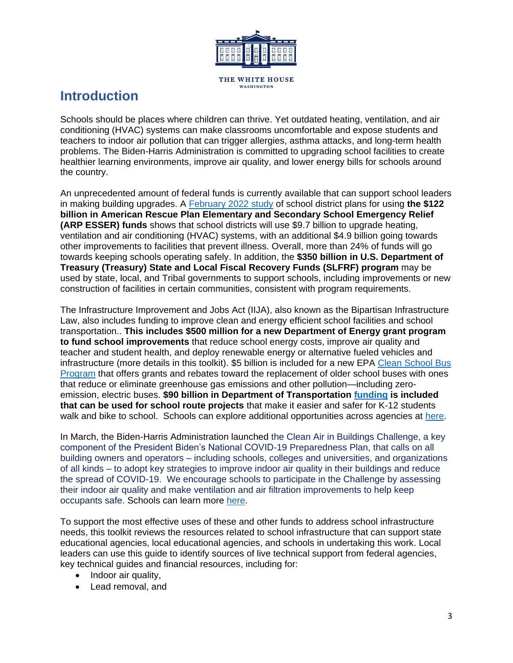

THE WHITE HOUSE WASHINGTON

# <span id="page-2-0"></span>**Introduction**

Schools should be places where children can thrive. Yet outdated heating, ventilation, and air conditioning (HVAC) systems can make classrooms uncomfortable and expose students and teachers to indoor air pollution that can trigger allergies, asthma attacks, and long-term health problems. The Biden-Harris Administration is committed to upgrading school facilities to create healthier learning environments, improve air quality, and lower energy bills for schools around the country.

An unprecedented amount of federal funds is currently available that can support school leaders in making building upgrades. A [February 2022](https://www.future-ed.org/financial-trends-in-local-schools-covid-aid-spending/) study of school district plans for using **the \$122 billion in American Rescue Plan Elementary and Secondary School Emergency Relief (ARP ESSER) funds** shows that school districts will use \$9.7 billion to upgrade heating, ventilation and air conditioning (HVAC) systems, with an additional \$4.9 billion going towards other improvements to facilities that prevent illness. Overall, more than 24% of funds will go towards keeping schools operating safely. In addition, the **\$350 billion in U.S. Department of Treasury (Treasury) State and Local Fiscal Recovery Funds (SLFRF) program** may be used by state, local, and Tribal governments to support schools, including improvements or new construction of facilities in certain communities, consistent with program requirements.

The Infrastructure Improvement and Jobs Act (IIJA), also known as the Bipartisan Infrastructure Law, also includes funding to improve clean and energy efficient school facilities and school transportation.. **This includes \$500 million for a new Department of Energy grant program to fund school improvements** that reduce school energy costs, improve air quality and teacher and student health, and deploy renewable energy or alternative fueled vehicles and infrastructure (more details in this toolkit). \$5 billion is included for a new EPA [Clean School Bus](https://www.epa.gov/cleanschoolbus/prepare-clean-school-bus-funding)  [Program](https://www.epa.gov/cleanschoolbus/prepare-clean-school-bus-funding) that offers grants and rebates toward the replacement of older school buses with ones that reduce or eliminate greenhouse gas emissions and other pollution—including zeroemission, electric buses. **\$90 billion in Department of Transportation [funding](https://safety.fhwa.dot.gov/hsip/legislation_guidance/) is included that can be used for school route projects** that make it easier and safer for K-12 students walk and bike to school. Schools can explore additional opportunities across agencies at [here.](https://www.whitehouse.gov/wp-content/uploads/2022/01/BIL-Factsheet-Local-Competitive-Funding.pdf)

In March, the Biden-Harris Administration launched the Clean Air in Buildings Challenge, a key component of the President Biden's National COVID-19 Preparedness Plan, that calls on all building owners and operators – including schools, colleges and universities, and organizations of all kinds – to adopt key strategies to improve indoor air quality in their buildings and reduce the spread of COVID-19. We encourage schools to participate in the Challenge by assessing their indoor air quality and make ventilation and air filtration improvements to help keep occupants safe. Schools can learn more [here.](https://www.epa.gov/indoor-air-quality-iaq/clean-air-buildings-challenge)

To support the most effective uses of these and other funds to address school infrastructure needs, this toolkit reviews the resources related to school infrastructure that can support state educational agencies, local educational agencies, and schools in undertaking this work. Local leaders can use this guide to identify sources of live technical support from federal agencies, key technical guides and financial resources, including for:

- Indoor air quality,
- Lead removal, and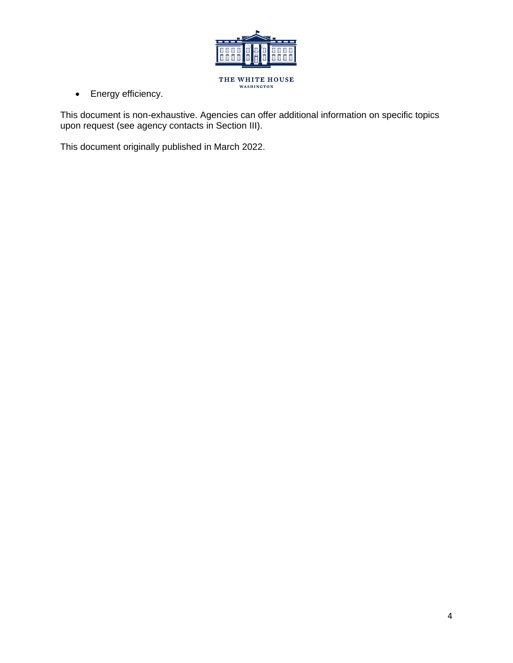

• Energy efficiency.

This document is non-exhaustive. Agencies can offer additional information on specific topics upon request (see agency contacts in Section III).

This document originally published in March 2022.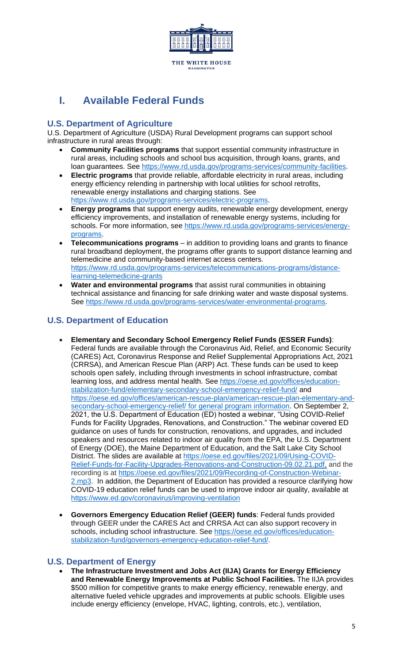<span id="page-4-0"></span>

# <span id="page-4-1"></span>**I. Available Federal Funds**

## **U.S. Department of Agriculture**

U.S. Department of Agriculture (USDA) Rural Development programs can support school infrastructure in rural areas through:

- **Community Facilities programs** that support essential community infrastructure in rural areas, including schools and school bus acquisition, through loans, grants, and loan guarantees. See [https://www.rd.usda.gov/programs-services/community-facilities.](https://www.rd.usda.gov/programs-services/community-facilities)
- <span id="page-4-2"></span>• **Electric programs** that provide reliable, affordable electricity in rural areas, including energy efficiency relending in partnership with local utilities for school retrofits, renewable energy installations and charging stations. See [https://www.rd.usda.gov/programs-services/electric-programs.](https://www.rd.usda.gov/programs-services/electric-programs)
- **Energy programs** that support energy audits, renewable energy development, energy efficiency improvements, and installation of renewable energy systems, including for schools. For more information, see [https://www.rd.usda.gov/programs-services/energy](https://www.rd.usda.gov/programs-services/energy-programs)[programs.](https://www.rd.usda.gov/programs-services/energy-programs)
- **Telecommunications programs**  in addition to providing loans and grants to finance rural broadband deployment, the programs offer grants to support distance learning and telemedicine and community-based internet access centers. [https://www.rd.usda.gov/programs-services/telecommunications-programs/distance](https://www.rd.usda.gov/programs-services/telecommunications-programs/distance-learning-telemedicine-grants)[learning-telemedicine-grants](https://www.rd.usda.gov/programs-services/telecommunications-programs/distance-learning-telemedicine-grants)
- **Water and environmental programs** that assist rural communities in obtaining technical assistance and financing for safe drinking water and waste disposal systems. See [https://www.rd.usda.gov/programs-services/water-environmental-programs.](https://www.rd.usda.gov/programs-services/water-environmental-programs)

## **U.S. Department of Education**

- <span id="page-4-3"></span>• **Elementary and Secondary School Emergency Relief Funds (ESSER Funds)**: Federal funds are available through the Coronavirus Aid, Relief, and Economic Security (CARES) Act, Coronavirus Response and Relief Supplemental Appropriations Act, 2021 (CRRSA), and American Rescue Plan (ARP) Act. These funds can be used to keep schools open safely, including through investments in school infrastructure, combat learning loss, and address mental health. See [https://oese.ed.gov/offices/education](https://oese.ed.gov/offices/education-stabilization-fund/elementary-secondary-school-emergency-relief-fund/)[stabilization-fund/elementary-secondary-school-emergency-relief-fund/](https://oese.ed.gov/offices/education-stabilization-fund/elementary-secondary-school-emergency-relief-fund/) and [https://oese.ed.gov/offices/american-rescue-plan/american-rescue-plan-elementary-and](https://oese.ed.gov/offices/american-rescue-plan/american-rescue-plan-elementary-and-secondary-school-emergency-relief/)[secondary-school-emergency-relief/](https://oese.ed.gov/offices/american-rescue-plan/american-rescue-plan-elementary-and-secondary-school-emergency-relief/) for general program information. On September 2, 2021, the U.S. Department of Education (ED) hosted a webinar, "Using COVID-Relief Funds for Facility Upgrades, Renovations, and Construction." The webinar covered ED guidance on uses of funds for construction, renovations, and upgrades, and included speakers and resources related to indoor air quality from the EPA, the U.S. Department of Energy (DOE), the Maine Department of Education, and the Salt Lake City School District. The slides are available at [https://oese.ed.gov/files/2021/09/Using-COVID-](https://oese.ed.gov/files/2021/09/Using-COVID-Relief-Funds-for-Facility-Upgrades-Renovations-and-Construction-09.02.21.pdf)[Relief-Funds-for-Facility-Upgrades-Renovations-and-Construction-09.02.21.pdf,](https://oese.ed.gov/files/2021/09/Using-COVID-Relief-Funds-for-Facility-Upgrades-Renovations-and-Construction-09.02.21.pdf) and the recording is at [https://oese.ed.gov/files/2021/09/Recording-of-Construction-Webinar-](https://oese.ed.gov/files/2021/09/Recording-of-Construction-Webinar-2.mp3)[2.mp3.](https://oese.ed.gov/files/2021/09/Recording-of-Construction-Webinar-2.mp3) In addition, the Department of Education has provided a resource clarifying how COVID-19 education relief funds can be used to improve indoor air quality, available at <https://www.ed.gov/coronavirus/improving-ventilation>
- **Governors Emergency Education Relief (GEER) funds**: Federal funds provided through GEER under the CARES Act and CRRSA Act can also support recovery in schools, including school infrastructure. See [https://oese.ed.gov/offices/education](https://oese.ed.gov/offices/education-stabilization-fund/governors-emergency-education-relief-fund/)[stabilization-fund/governors-emergency-education-relief-fund/.](https://oese.ed.gov/offices/education-stabilization-fund/governors-emergency-education-relief-fund/)

## **U.S. Department of Energy**

• **The Infrastructure Investment and Jobs Act (IIJA) Grants for Energy Efficiency and Renewable Energy Improvements at Public School Facilities.** The IIJA provides \$500 million for competitive grants to make energy efficiency, renewable energy, and alternative fueled vehicle upgrades and improvements at public schools. Eligible uses include energy efficiency (envelope, HVAC, lighting, controls, etc.), ventilation,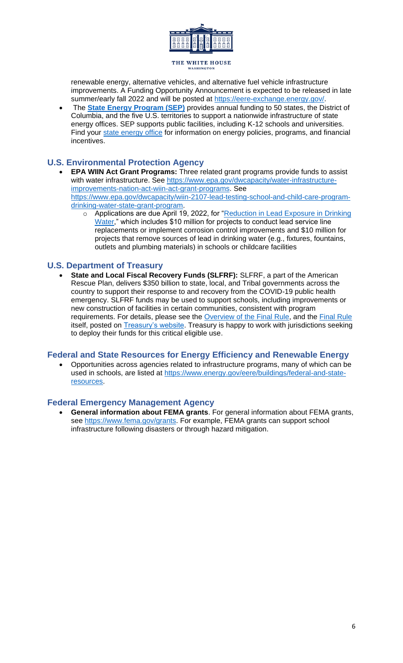

<span id="page-5-0"></span>renewable energy, alternative vehicles, and alternative fuel vehicle infrastructure improvements. A Funding Opportunity Announcement is expected to be released in late summer/early fall 2022 and will be posted at [https://eere-exchange.energy.gov/.](https://eere-exchange.energy.gov/)

<span id="page-5-1"></span>• The **[State Energy Program \(SEP\)](file:///C:/Users/JAMcKinney/OneDrive/Safe%20and%20healthy%20school%20buildings/General%20toolkit/%3ehttps:/www.energy.gov/eere/wipo/about-state-energy-program%3c)** provides annual funding to 50 states, the District of Columbia, and the five U.S. territories to support a nationwide infrastructure of state energy offices. SEP supports public facilities, including K-12 schools and universities. Find your [state energy office](https://www.energy.gov/eere/femp/state-energy-offices-and-organizations) for information on energy policies, programs, and financial incentives.

## **U.S. Environmental Protection Agency**

- <span id="page-5-2"></span>• **EPA WIIN Act Grant Programs:** Three related grant programs provide funds to assist with water infrastructure. See [https://www.epa.gov/dwcapacity/water-infrastructure](https://www.epa.gov/dwcapacity/water-infrastructure-improvements-nation-act-wiin-act-grant-programs)[improvements-nation-act-wiin-act-grant-programs.](https://www.epa.gov/dwcapacity/water-infrastructure-improvements-nation-act-wiin-act-grant-programs) See [https://www.epa.gov/dwcapacity/wiin-2107-lead-testing-school-and-child-care-program](https://www.epa.gov/dwcapacity/wiin-2107-lead-testing-school-and-child-care-program-drinking-water-state-grant-program)[drinking-water-state-grant-program.](https://www.epa.gov/dwcapacity/wiin-2107-lead-testing-school-and-child-care-program-drinking-water-state-grant-program)
	- o Applications are due April 19, 2022, for "Reduction in Lead Exposure in Drinking [Water,](https://www.grants.gov/web/grants/view-opportunity.html?oppId=338182)" which includes \$10 million for projects to conduct lead service line replacements or implement corrosion control improvements and \$10 million for projects that remove sources of lead in drinking water (e.g., fixtures, fountains, outlets and plumbing materials) in schools or childcare facilities

## <span id="page-5-3"></span>**U.S. Department of Treasury**

• **State and Local Fiscal Recovery Funds (SLFRF):** SLFRF, a part of the American Rescue Plan, delivers \$350 billion to state, local, and Tribal governments across the country to support their response to and recovery from the COVID-19 public health emergency. SLFRF funds may be used to support schools, including improvements or new construction of facilities in certain communities, consistent with program requirements. For details, please see the **Overview of the [Final Rule](https://www.govinfo.gov/content/pkg/FR-2022-01-27/pdf/2022-00292.pdf)**, and the Final Rule itself, posted on **Treasury's website**. Treasury is happy to work with jurisdictions seeking to deploy their funds for this critical eligible use.

## **Federal and State Resources for Energy Efficiency and Renewable Energy**

• Opportunities across agencies related to infrastructure programs, many of which can be used in schools, are listed at [https://www.energy.gov/eere/buildings/federal-and-state](https://www.energy.gov/eere/buildings/federal-and-state-resources)[resources.](https://www.energy.gov/eere/buildings/federal-and-state-resources)

## **Federal Emergency Management Agency**

• **General information about FEMA grants**. For general information about FEMA grants, see [https://www.fema.gov/grants.](https://www.fema.gov/grants) For example, FEMA grants can support school infrastructure following disasters or through hazard mitigation.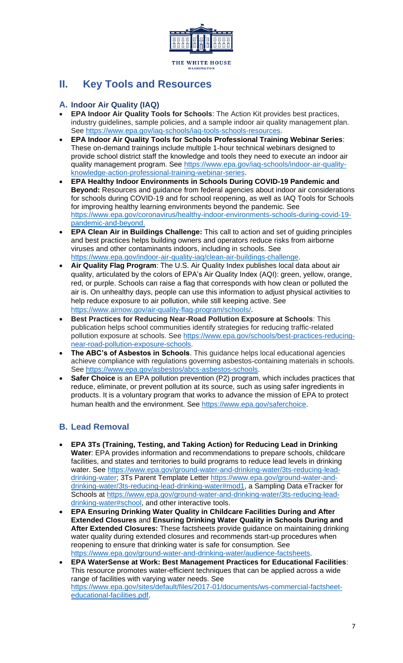

# <span id="page-6-1"></span><span id="page-6-0"></span>**II. Key Tools and Resources**

## **A. Indoor Air Quality (IAQ)**

- **EPA Indoor Air Quality Tools for Schools**: The Action Kit provides best practices, industry guidelines, sample policies, and a sample indoor air quality management plan. See [https://www.epa.gov/iaq-schools/iaq-tools-schools-resources.](https://www.epa.gov/iaq-schools/iaq-tools-schools-resources)
- **EPA Indoor Air Quality Tools for Schools Professional Training Webinar Series**: These on-demand trainings include multiple 1-hour technical webinars designed to provide school district staff the knowledge and tools they need to execute an indoor air quality management program. See [https://www.epa.gov/iaq-schools/indoor-air-quality](https://www.epa.gov/iaq-schools/indoor-air-quality-knowledge-action-professional-training-webinar-series)[knowledge-action-professional-training-webinar-series.](https://www.epa.gov/iaq-schools/indoor-air-quality-knowledge-action-professional-training-webinar-series)
- **EPA Healthy Indoor Environments in Schools During COVID-19 Pandemic and Beyond:** Resources and guidance from federal agencies about indoor air considerations for schools during COVID-19 and for school reopening, as well as IAQ Tools for Schools for improving healthy learning environments beyond the pandemic. See [https://www.epa.gov/coronavirus/healthy-indoor-environments-schools-during-covid-19](https://www.epa.gov/coronavirus/healthy-indoor-environments-schools-during-covid-19-pandemic-and-beyond) [pandemic-and-beyond.](https://www.epa.gov/coronavirus/healthy-indoor-environments-schools-during-covid-19-pandemic-and-beyond)
- **EPA Clean Air in Buildings Challenge:** This call to action and set of guiding principles and best practices helps building owners and operators reduce risks from airborne viruses and other contaminants indoors, including in schools. See [https://www.epa.gov/indoor-air-quality-iaq/clean-air-buildings-challenge.](https://www.epa.gov/indoor-air-quality-iaq/clean-air-buildings-challenge)
- <span id="page-6-2"></span>• **Air Quality Flag Program**: The U.S. Air Quality Index publishes local data about air quality, articulated by the colors of EPA's Air Quality Index (AQI): green, yellow, orange, red, or purple. Schools can raise a flag that corresponds with how clean or polluted the air is. On unhealthy days, people can use this information to adjust physical activities to help reduce exposure to air pollution, while still keeping active. See [https://www.airnow.gov/air-quality-flag-program/schools/.](https://www.airnow.gov/air-quality-flag-program/schools/)
- **Best Practices for Reducing Near-Road Pollution Exposure at Schools**: This publication helps school communities identify strategies for reducing traffic-related pollution exposure at schools. See [https://www.epa.gov/schools/best-practices-reducing](https://www.epa.gov/schools/best-practices-reducing-near-road-pollution-exposure-schools)[near-road-pollution-exposure-schools.](https://www.epa.gov/schools/best-practices-reducing-near-road-pollution-exposure-schools)
- **[The ABC's of Asbestos in Schools](https://www.epa.gov/asbestos/abcs-asbestos-schools)**. This guidance helps local educational agencies achieve compliance with regulations governing asbestos-containing materials in schools. See [https://www.epa.gov/asbestos/abcs-asbestos-schools.](https://www.epa.gov/asbestos/abcs-asbestos-schools)
- **Safer Choice** is an EPA pollution prevention (P2) program, which includes practices that reduce, eliminate, or prevent pollution at its source, such as using safer ingredients in products. It is a voluntary program that works to advance the mission of EPA to protect human health and the environment. See [https://www.epa.gov/saferchoice.](https://www.epa.gov/saferchoice)

## **B. Lead Removal**

- **EPA 3Ts (Training, Testing, and Taking Action) for Reducing Lead in Drinking Water**: EPA provides information and recommendations to prepare schools, childcare facilities, and states and territories to build programs to reduce lead levels in drinking water. See [https://www.epa.gov/ground-water-and-drinking-water/3ts-reducing-lead](https://www.epa.gov/ground-water-and-drinking-water/3ts-reducing-lead-drinking-water)[drinking-water;](https://www.epa.gov/ground-water-and-drinking-water/3ts-reducing-lead-drinking-water) 3Ts Parent Template Letter [https://www.epa.gov/ground-water-and](https://www.epa.gov/ground-water-and-drinking-water/3ts-reducing-lead-drinking-water#mod1)[drinking-water/3ts-reducing-lead-drinking-water#mod1,](https://www.epa.gov/ground-water-and-drinking-water/3ts-reducing-lead-drinking-water#mod1) a Sampling Data eTracker for Schools at [https://www.epa.gov/ground-water-and-drinking-water/3ts-reducing-lead](https://www.epa.gov/ground-water-and-drinking-water/3ts-reducing-lead-drinking-water#school)[drinking-water#school,](https://www.epa.gov/ground-water-and-drinking-water/3ts-reducing-lead-drinking-water#school) and other interactive tools.
- **EPA Ensuring Drinking Water Quality in Childcare Facilities During and After Extended Closures** and **Ensuring Drinking Water Quality in Schools During and After Extended Closures:** These factsheets provide guidance on maintaining drinking water quality during extended closures and recommends start-up procedures when reopening to ensure that drinking water is safe for consumption. See [https://www.epa.gov/ground-water-and-drinking-water/audience-factsheets.](https://www.epa.gov/ground-water-and-drinking-water/audience-factsheets)
- **EPA WaterSense at Work: Best Management Practices for Educational Facilities**: This resource promotes water-efficient techniques that can be applied across a wide range of facilities with varying water needs. See [https://www.epa.gov/sites/default/files/2017-01/documents/ws-commercial-factsheet](https://www.epa.gov/sites/default/files/2017-01/documents/ws-commercial-factsheet-educational-facilities.pdf)[educational-facilities.pdf.](https://www.epa.gov/sites/default/files/2017-01/documents/ws-commercial-factsheet-educational-facilities.pdf)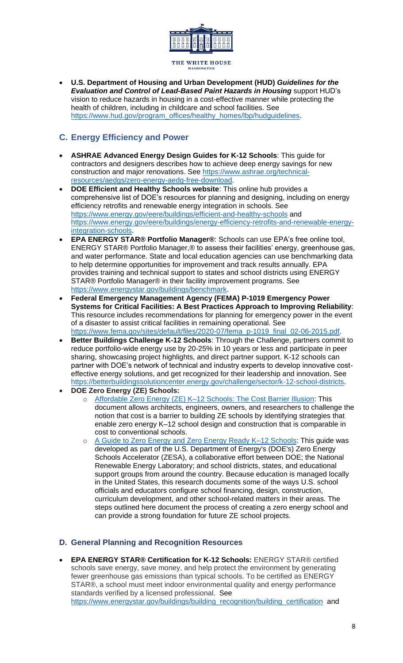

<span id="page-7-0"></span>• **U.S. Department of Housing and Urban Development (HUD)** *Guidelines for the Evaluation and Control of Lead-Based Paint Hazards in Housing* support HUD's vision to reduce hazards in housing in a cost-effective manner while protecting the health of children, including in childcare and school facilities. See [https://www.hud.gov/program\\_offices/healthy\\_homes/lbp/hudguidelines.](https://www.hud.gov/program_offices/healthy_homes/lbp/hudguidelines)

## **C. Energy Efficiency and Power**

- **ASHRAE Advanced Energy Design Guides for K-12 Schools**: This guide for contractors and designers describes how to achieve deep energy savings for new construction and major renovations. See [https://www.ashrae.org/technical](https://www.ashrae.org/technical-resources/aedgs/zero-energy-aedg-free-download)[resources/aedgs/zero-energy-aedg-free-download.](https://www.ashrae.org/technical-resources/aedgs/zero-energy-aedg-free-download)
- **DOE Efficient and Healthy Schools website**: This online hub provides a comprehensive list of DOE's resources for planning and designing, including on energy efficiency retrofits and renewable energy integration in schools. See <https://www.energy.gov/eere/buildings/efficient-and-healthy-schools> and [https://www.energy.gov/eere/buildings/energy-efficiency-retrofits-and-renewable-energy](https://www.energy.gov/eere/buildings/energy-efficiency-retrofits-and-renewable-energy-integration-schools)[integration-schools.](https://www.energy.gov/eere/buildings/energy-efficiency-retrofits-and-renewable-energy-integration-schools)
- **EPA ENERGY STAR® Portfolio Manager®**: Schools can use EPA's free online tool, ENERGY STAR® Portfolio Manager,® to assess their facilities' energy, greenhouse gas, and water performance. State and local education agencies can use benchmarking data to help determine opportunities for improvement and track results annually. EPA provides training and technical support to states and school districts using ENERGY STAR® Portfolio Manager® in their facility improvement programs. See [https://www.energystar.gov/buildings/benchmark.](https://www.energystar.gov/buildings/benchmark)
- **Federal Emergency Management Agency (FEMA) P-1019 Emergency Power Systems for Critical Facilities: A Best Practices Approach to Improving Reliability**: This resource includes recommendations for planning for emergency power in the event of a disaster to assist critical facilities in remaining operational. See [https://www.fema.gov/sites/default/files/2020-07/fema\\_p-1019\\_final\\_02-06-2015.pdf.](https://www.fema.gov/sites/default/files/2020-07/fema_p-1019_final_02-06-2015.pdf)
- **Better Buildings Challenge K-12 Schools:** Through the Challenge, partners commit to reduce portfolio-wide energy use by 20-25% in 10 years or less and participate in peer sharing, showcasing project highlights, and direct partner support. K-12 schools can partner with DOE's network of technical and industry experts to develop innovative costeffective energy solutions, and get recognized for their leadership and innovation. See [https://betterbuildingssolutioncenter.energy.gov/challenge/sector/k-12-school-districts.](https://betterbuildingssolutioncenter.energy.gov/challenge/sector/k-12-school-districts)
- <span id="page-7-1"></span>• **DOE Zero Energy (ZE) Schools:**
	- o [Affordable Zero Energy \(ZE\) K–12 Schools: The Cost Barrier Illusion:](https://www.nrel.gov/docs/fy22osti/80766.pdf) This document allows architects, engineers, owners, and researchers to challenge the notion that cost is a barrier to building ZE schools by identifying strategies that enable zero energy K–12 school design and construction that is comparable in cost to conventional schools.
	- o A Guide to Zero Energy and Zero Energy Ready K-12 Schools: This guide was developed as part of the U.S. Department of Energy's (DOE's) Zero Energy Schools Accelerator (ZESA), a collaborative effort between DOE; the National Renewable Energy Laboratory; and school districts, states, and educational support groups from around the country. Because education is managed locally in the United States, this research documents some of the ways U.S. school officials and educators configure school financing, design, construction, curriculum development, and other school-related matters in their areas. The steps outlined here document the process of creating a zero energy school and can provide a strong foundation for future ZE school projects.

## **D. General Planning and Recognition Resources**

• **EPA ENERGY STAR® Certification for K-12 Schools:** ENERGY STAR® certified schools save energy, save money, and help protect the environment by generating fewer greenhouse gas emissions than typical schools. To be certified as ENERGY STAR®, a school must meet indoor environmental quality and energy performance standards verified by a licensed professional. See [https://www.energystar.gov/buildings/building\\_recognition/building\\_certification](https://www.energystar.gov/buildings/building_recognition/building_certification) and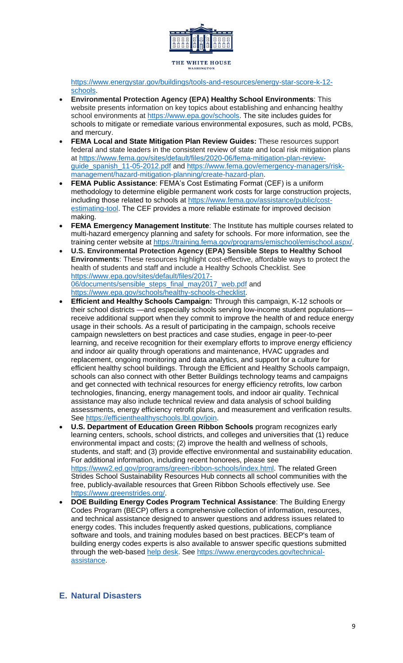

[https://www.energystar.gov/buildings/tools-and-resources/energy-star-score-k-12](https://www.energystar.gov/buildings/tools-and-resources/energy-star-score-k-12-schools) [schools.](https://www.energystar.gov/buildings/tools-and-resources/energy-star-score-k-12-schools)

- **Environmental Protection Agency (EPA) Healthy School Environments**: This website presents information on key topics about establishing and enhancing healthy school environments at [https://www.epa.gov/schools.](https://www.epa.gov/schools) The site includes guides for schools to mitigate or remediate various environmental exposures, such as mold, PCBs, and mercury.
- **FEMA Local and State Mitigation Plan Review Guides:** These resources support federal and state leaders in the consistent review of state and local risk mitigation plans at [https://www.fema.gov/sites/default/files/2020-06/fema-mitigation-plan-review](https://www.fema.gov/sites/default/files/2020-06/fema-mitigation-plan-review-guide_spanish_11-05-2012.pdf)[guide\\_spanish\\_11-05-2012.pdf](https://www.fema.gov/sites/default/files/2020-06/fema-mitigation-plan-review-guide_spanish_11-05-2012.pdf) and [https://www.fema.gov/emergency-managers/risk](https://www.fema.gov/emergency-managers/risk-management/hazard-mitigation-planning/create-hazard-plan)[management/hazard-mitigation-planning/create-hazard-plan.](https://www.fema.gov/emergency-managers/risk-management/hazard-mitigation-planning/create-hazard-plan)
- **FEMA Public Assistance**: FEMA's Cost Estimating Format (CEF) is a uniform methodology to determine eligible permanent work costs for large construction projects, including those related to schools at [https://www.fema.gov/assistance/public/cost](https://www.fema.gov/assistance/public/cost-estimating-tool)[estimating-tool.](https://www.fema.gov/assistance/public/cost-estimating-tool) The CEF provides a more reliable estimate for improved decision making.
- **FEMA Emergency Management Institute**: The Institute has multiple courses related to multi-hazard emergency planning and safety for schools. For more information, see the training center website at [https://training.fema.gov/programs/emischool/emischool.aspx/.](https://training.fema.gov/programs/emischool/emischool.aspx/)
- **U.S. Environmental Protection Agency (EPA) Sensible Steps to Healthy School Environments**: These resources highlight cost-effective, affordable ways to protect the health of students and staff and include a Healthy Schools Checklist. See [https://www.epa.gov/sites/default/files/2017-](https://www.epa.gov/sites/default/files/2017-06/documents/sensible_steps_final_may2017_web.pdf) [06/documents/sensible\\_steps\\_final\\_may2017\\_web.pdf](https://www.epa.gov/sites/default/files/2017-06/documents/sensible_steps_final_may2017_web.pdf) and [https://www.epa.gov/schools/healthy-schools-checklist.](https://www.epa.gov/schools/healthy-schools-checklist)
- **Efficient and Healthy Schools Campaign:** Through this campaign, K-12 schools or their school districts —and especially schools serving low-income student populations receive additional support when they commit to improve the health of and reduce energy usage in their schools. As a result of participating in the campaign, schools receive campaign newsletters on best practices and case studies, engage in peer-to-peer learning, and receive recognition for their exemplary efforts to improve energy efficiency and indoor air quality through operations and maintenance, HVAC upgrades and replacement, ongoing monitoring and data analytics, and support for a culture for efficient healthy school buildings. Through the Efficient and Healthy Schools campaign, schools can also connect with other Better Buildings technology teams and campaigns and get connected with technical resources for energy efficiency retrofits, low carbon technologies, financing, energy management tools, and indoor air quality. Technical assistance may also include technical review and data analysis of school building assessments, energy efficiency retrofit plans, and measurement and verification results. See [https://efficienthealthyschools.lbl.gov/join.](https://efficienthealthyschools.lbl.gov/join)
- <span id="page-8-0"></span>• **U.S. Department of Education Green Ribbon Schools** program recognizes early learning centers, schools, school districts, and colleges and universities that (1) reduce environmental impact and costs; (2) improve the health and wellness of schools, students, and staff; and (3) provide effective environmental and sustainability education. For additional information, including recent honorees, please see [https://www2.ed.gov/programs/green-ribbon-schools/index.html.](https://www2.ed.gov/programs/green-ribbon-schools/index.html) The related Green Strides School Sustainability Resources Hub connects all school communities with the free, publicly-available resources that Green Ribbon Schools effectively use. See [https://www.greenstrides.org/.](https://www.greenstrides.org/)
- **DOE Building Energy Codes Program Technical Assistance**: The Building Energy Codes Program (BECP) offers a comprehensive collection of information, resources, and technical assistance designed to answer questions and address issues related to energy codes. This includes frequently asked questions, publications, compliance software and tools, and training modules based on best practices. BECP's team of building energy codes experts is also available to answer specific questions submitted through the web-based [help desk.](https://www.energycodes.gov/technical-assistance/support) See [https://www.energycodes.gov/technical](https://www.energycodes.gov/technical-assistance)[assistance.](https://www.energycodes.gov/technical-assistance)

## **E. Natural Disasters**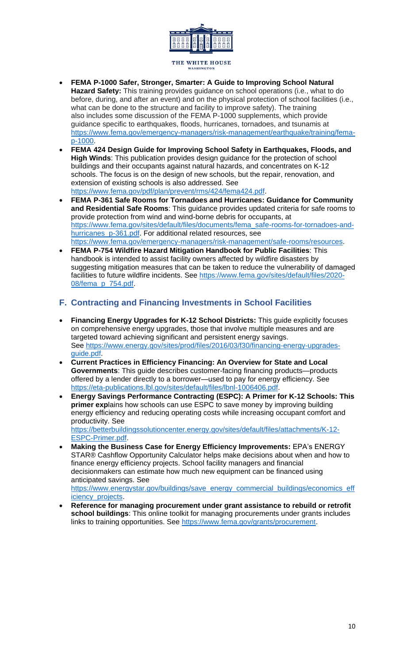

- **FEMA P-1000 Safer, Stronger, Smarter: A Guide to Improving School Natural Hazard Safety:** This training provides guidance on school operations (i.e., what to do before, during, and after an event) and on the physical protection of school facilities (i.e., what can be done to the structure and facility to improve safety). The training also includes some discussion of the FEMA P-1000 supplements, which provide guidance specific to earthquakes, floods, hurricanes, tornadoes, and tsunamis at [https://www.fema.gov/emergency-managers/risk-management/earthquake/training/fema](https://www.fema.gov/emergency-managers/risk-management/earthquake/training/fema-p-1000)[p-1000.](https://www.fema.gov/emergency-managers/risk-management/earthquake/training/fema-p-1000)
- <span id="page-9-0"></span>• **FEMA 424 Design Guide for Improving School Safety in Earthquakes, Floods, and High Winds**: This publication provides design guidance for the protection of school buildings and their occupants against natural hazards, and concentrates on K-12 schools. The focus is on the design of new schools, but the repair, renovation, and extension of existing schools is also addressed. See [https://www.fema.gov/pdf/plan/prevent/rms/424/fema424.pdf.](https://www.fema.gov/pdf/plan/prevent/rms/424/fema424.pdf)
- **FEMA P-361 Safe Rooms for Tornadoes and Hurricanes: Guidance for Community and Residential Safe Rooms**: This guidance provides updated criteria for safe rooms to provide protection from wind and wind-borne debris for occupants, at [https://www.fema.gov/sites/default/files/documents/fema\\_safe-rooms-for-tornadoes-and](https://www.fema.gov/sites/default/files/documents/fema_safe-rooms-for-tornadoes-and-hurricanes_p-361.pdf)[hurricanes\\_p-361.pdf.](https://www.fema.gov/sites/default/files/documents/fema_safe-rooms-for-tornadoes-and-hurricanes_p-361.pdf) For additional related resources, see [https://www.fema.gov/emergency-managers/risk-management/safe-rooms/resources.](https://www.fema.gov/emergency-managers/risk-management/safe-rooms/resources)
- **FEMA P-754 Wildfire Hazard Mitigation Handbook for Public Facilities**: This handbook is intended to assist facility owners affected by wildfire disasters by suggesting mitigation measures that can be taken to reduce the vulnerability of damaged facilities to future wildfire incidents. See [https://www.fema.gov/sites/default/files/2020-](https://www.fema.gov/sites/default/files/2020-08/fema_p_754.pdf) [08/fema\\_p\\_754.pdf.](https://www.fema.gov/sites/default/files/2020-08/fema_p_754.pdf)

## **F. Contracting and Financing Investments in School Facilities**

- **Financing Energy Upgrades for K-12 School Districts:** This guide explicitly focuses on comprehensive energy upgrades, those that involve multiple measures and are targeted toward achieving significant and persistent energy savings. See [https://www.energy.gov/sites/prod/files/2016/03/f30/financing-energy-upgrades](https://www.energy.gov/sites/prod/files/2016/03/f30/financing-energy-upgrades-guide.pdf)[guide.pdf.](https://www.energy.gov/sites/prod/files/2016/03/f30/financing-energy-upgrades-guide.pdf)
- **Current Practices in Efficiency Financing: An Overview for State and Local Governments**: This guide describes customer-facing financing products—products offered by a lender directly to a borrower—used to pay for energy efficiency. See [https://eta-publications.lbl.gov/sites/default/files/lbnl-1006406.pdf.](https://eta-publications.lbl.gov/sites/default/files/lbnl-1006406.pdf)
- **Energy Savings Performance Contracting (ESPC): A Primer for K-12 Schools: This primer exp**lains how schools can use ESPC to save money by improving building energy efficiency and reducing operating costs while increasing occupant comfort and productivity. See [https://betterbuildingssolutioncenter.energy.gov/sites/default/files/attachments/K-12-](https://betterbuildingssolutioncenter.energy.gov/sites/default/files/attachments/K-12-ESPC-Primer.pdf) [ESPC-Primer.pdf.](https://betterbuildingssolutioncenter.energy.gov/sites/default/files/attachments/K-12-ESPC-Primer.pdf)
- **Making the Business Case for Energy Efficiency Improvements:** EPA's ENERGY STAR® Cashflow Opportunity Calculator helps make decisions about when and how to finance energy efficiency projects. School facility managers and financial decisionmakers can estimate how much new equipment can be financed using anticipated savings. See

[https://www.energystar.gov/buildings/save\\_energy\\_commercial\\_buildings/economics\\_eff](https://www.energystar.gov/buildings/save_energy_commercial_buildings/economics_efficiency_projects) [iciency\\_projects.](https://www.energystar.gov/buildings/save_energy_commercial_buildings/economics_efficiency_projects)

• **Reference for managing procurement under grant assistance to rebuild or retrofit school buildings**: This online toolkit for managing procurements under grants includes links to training opportunities. See [https://www.fema.gov/grants/procurement.](https://www.fema.gov/grants/procurement)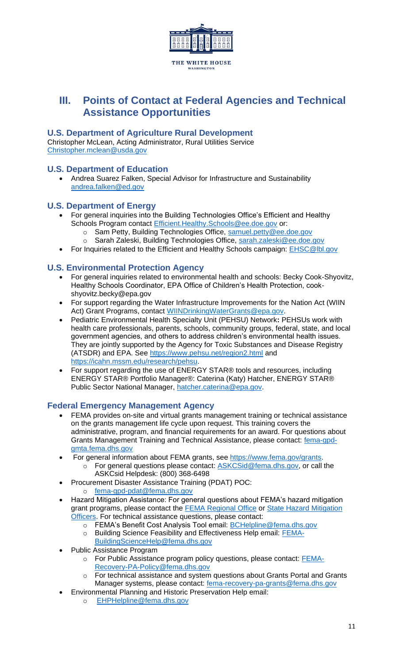<span id="page-10-0"></span>

## <span id="page-10-3"></span><span id="page-10-2"></span><span id="page-10-1"></span>**III. Points of Contact at Federal Agencies and Technical Assistance Opportunities**

## <span id="page-10-4"></span>**U.S. Department of Agriculture Rural Development**

Christopher McLean, Acting Administrator, Rural Utilities Service [Christopher.mclean@usda.gov](mailto:Christopher.mclean@usda.gov)

## **U.S. Department of Education**

• Andrea Suarez Falken, Special Advisor for Infrastructure and Sustainability [andrea.falken@ed.gov](mailto:andrea.falken@ed.gov)

## **U.S. Department of Energy**

- For general inquiries into the Building Technologies Office's Efficient and Healthy Schools Program contact [Efficient.Healthy.Schools@ee.doe.gov](mailto:Efficient.Healthy.Schools@ee.doe.gov) or:
	- o Sam Petty, Building Technologies Office, [samuel.petty@ee.doe.gov](mailto:samuel.petty@ee.doe.gov)
	- o Sarah Zaleski, Building Technologies Office, [sarah.zaleski@ee.doe.gov](mailto:sarah.zaleski@ee.doe.gov)
- For Inquiries related to the Efficient and Healthy Schools campaign: [EHSC@lbl.gov](mailto:EHSC@lbl.gov)

## <span id="page-10-5"></span>**U.S. Environmental Protection Agency**

- For general inquiries related to environmental health and schools: Becky Cook-Shyovitz, Healthy Schools Coordinator, EPA Office of Children's Health Protection, cookshyovitz.becky@epa.gov
- For support regarding the Water Infrastructure Improvements for the Nation Act (WIIN Act) Grant Programs, contact [WIINDrinkingWaterGrants@epa.gov.](mailto:WIINDrinkingWaterGrants@epa.gov)
- Pediatric Environmental Health Specialty Unit (PEHSU) Network**:** PEHSUs work with health care professionals, parents, schools, community groups, federal, state, and local government agencies, and others to address children's environmental health issues. They are jointly supported by the Agency for Toxic Substances and Disease Registry (ATSDR) and EPA. See<https://www.pehsu.net/region2.html> and [https://icahn.mssm.edu/research/pehsu.](https://icahn.mssm.edu/research/pehsu)
- For support regarding the use of ENERGY STAR® tools and resources, including ENERGY STAR® Portfolio Manager®: Caterina (Katy) Hatcher, ENERGY STAR® Public Sector National Manager, [hatcher.caterina@epa.gov.](mailto:hatcher.caterina@epa.gov)

## **Federal Emergency Management Agency**

- FEMA provides on-site and virtual grants management training or technical assistance on the grants management life cycle upon request. This training covers the administrative, program, and financial requirements for an award. For questions about Grants Management Training and Technical Assistance, please contact: [fema-gpd](mailto:fema-gpd-gmta.fema.dhs.gov)[gmta.fema.dhs.gov](mailto:fema-gpd-gmta.fema.dhs.gov)
- For general information about FEMA grants, see [https://www.fema.gov/grants.](https://www.fema.gov/grants)
	- o For general questions please contact: [ASKCSid@fema.dhs.gov,](mailto:ASKCSid@fema.dhs.gov) or call the ASKCsid Helpdesk: (800) 368-6498
- Procurement Disaster Assistance Training (PDAT) POC:
	- o [fema-gpd-pdat@fema.dhs.gov](mailto:fema-gpd-pdat@fema.dhs.gov)
- Hazard Mitigation Assistance: For general questions about FEMA's hazard mitigation grant programs, please contact the [FEMA Regional Office](https://www.fema.gov/about/contact) or [State Hazard Mitigation](https://www.fema.gov/state-hazard-mitigation-officers)  [Officers.](https://www.fema.gov/state-hazard-mitigation-officers) For technical assistance questions, please contact:
	- o FEMA's Benefit Cost Analysis Tool email: **BCHelpline@fema.dhs.gov**
	- o Building Science Feasibility and Effectiveness Help email: [FEMA-](mailto:FEMA-BuildingScienceHelp@fema.dhs.gov)[BuildingScienceHelp@fema.dhs.gov](mailto:FEMA-BuildingScienceHelp@fema.dhs.gov)
- Public Assistance Program
	- o For Public Assistance program policy questions, please contact: [FEMA-](mailto:FEMA-Recovery-PA-Policy@fema.dhs.gov)[Recovery-PA-Policy@fema.dhs.gov](mailto:FEMA-Recovery-PA-Policy@fema.dhs.gov)
	- o For technical assistance and system questions about Grants Portal and Grants Manager systems, please contact: [fema-recovery-pa-grants@fema.dhs.gov](mailto:fema-recovery-pa-grants@fema.dhs.gov)
	- Environmental Planning and Historic Preservation Help email:
		- o [EHPHelpline@fema.dhs.gov](mailto:EHPHelpline@fema.dhs.gov)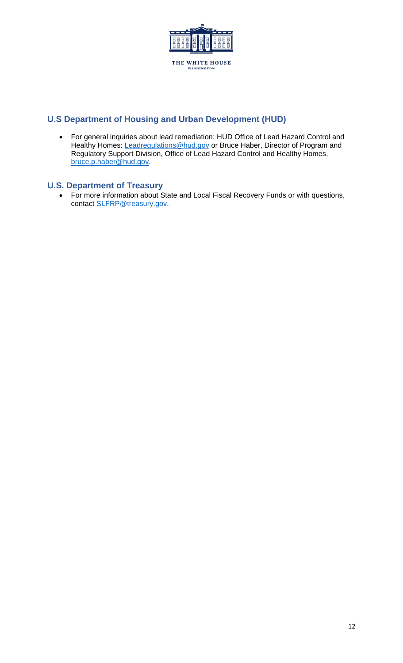<span id="page-11-0"></span>

## <span id="page-11-1"></span>**U.S Department of Housing and Urban Development (HUD)**

• For general inquiries about lead remediation: HUD Office of Lead Hazard Control and Healthy Homes: [Leadregulations@hud.gov](mailto:Leadregulations@hud.gov) or Bruce Haber, Director of Program and Regulatory Support Division, Office of Lead Hazard Control and Healthy Homes, [bruce.p.haber@hud.gov.](mailto:bruce.p.haber@hud.gov)

## **U.S. Department of Treasury**

• For more information about State and Local Fiscal Recovery Funds or with questions, contact **SLFRP@treasury.gov**.